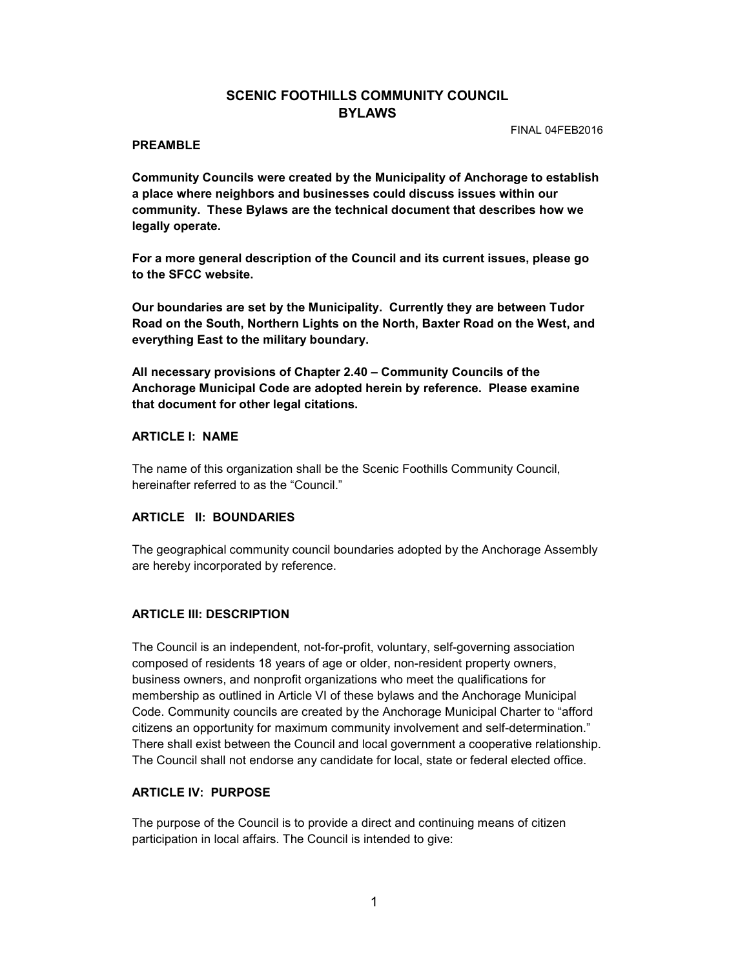# SCENIC FOOTHILLS COMMUNITY COUNCIL **BYLAWS**

FINAL 04FEB2016

### PREAMBLE

Community Councils were created by the Municipality of Anchorage to establish a place where neighbors and businesses could discuss issues within our community. These Bylaws are the technical document that describes how we legally operate.

For a more general description of the Council and its current issues, please go to the SFCC website.

Our boundaries are set by the Municipality. Currently they are between Tudor Road on the South, Northern Lights on the North, Baxter Road on the West, and everything East to the military boundary.

All necessary provisions of Chapter 2.40 – Community Councils of the Anchorage Municipal Code are adopted herein by reference. Please examine that document for other legal citations.

### ARTICLE I: NAME

The name of this organization shall be the Scenic Foothills Community Council, hereinafter referred to as the "Council."

# ARTICLE II: BOUNDARIES

The geographical community council boundaries adopted by the Anchorage Assembly are hereby incorporated by reference.

# ARTICLE III: DESCRIPTION

The Council is an independent, not-for-profit, voluntary, self-governing association composed of residents 18 years of age or older, non-resident property owners, business owners, and nonprofit organizations who meet the qualifications for membership as outlined in Article VI of these bylaws and the Anchorage Municipal Code. Community councils are created by the Anchorage Municipal Charter to "afford citizens an opportunity for maximum community involvement and self-determination." There shall exist between the Council and local government a cooperative relationship. The Council shall not endorse any candidate for local, state or federal elected office.

#### ARTICLE IV: PURPOSE

The purpose of the Council is to provide a direct and continuing means of citizen participation in local affairs. The Council is intended to give: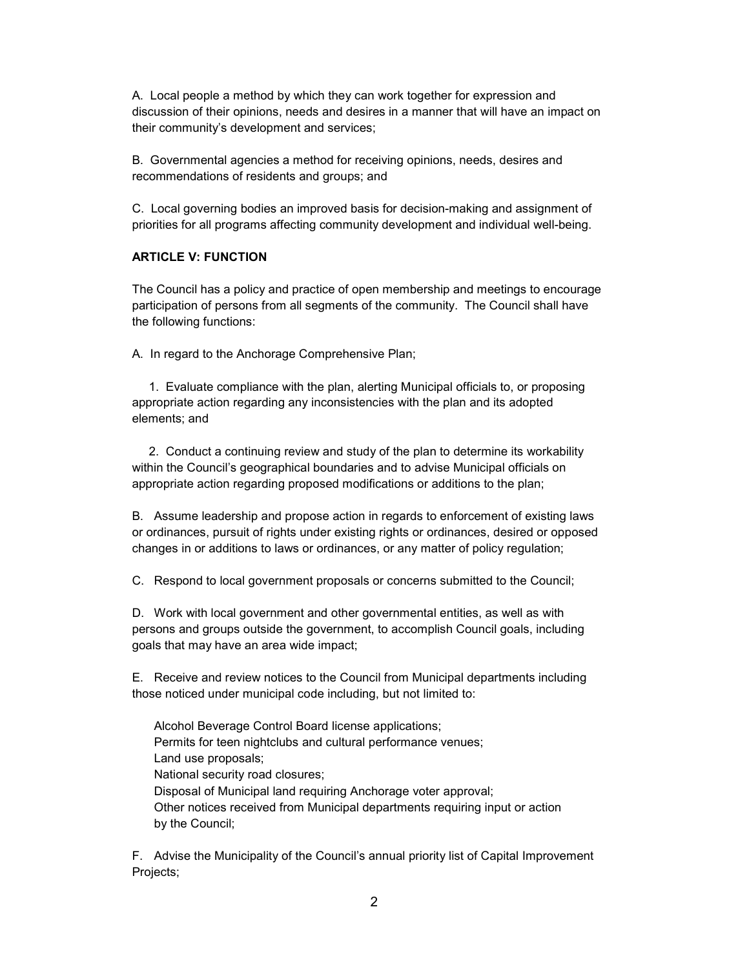A. Local people a method by which they can work together for expression and discussion of their opinions, needs and desires in a manner that will have an impact on their community's development and services;

B. Governmental agencies a method for receiving opinions, needs, desires and recommendations of residents and groups; and

C. Local governing bodies an improved basis for decision-making and assignment of priorities for all programs affecting community development and individual well-being.

## ARTICLE V: FUNCTION

The Council has a policy and practice of open membership and meetings to encourage participation of persons from all segments of the community. The Council shall have the following functions:

A. In regard to the Anchorage Comprehensive Plan;

 1. Evaluate compliance with the plan, alerting Municipal officials to, or proposing appropriate action regarding any inconsistencies with the plan and its adopted elements; and

 2. Conduct a continuing review and study of the plan to determine its workability within the Council's geographical boundaries and to advise Municipal officials on appropriate action regarding proposed modifications or additions to the plan;

B. Assume leadership and propose action in regards to enforcement of existing laws or ordinances, pursuit of rights under existing rights or ordinances, desired or opposed changes in or additions to laws or ordinances, or any matter of policy regulation;

C. Respond to local government proposals or concerns submitted to the Council;

D. Work with local government and other governmental entities, as well as with persons and groups outside the government, to accomplish Council goals, including goals that may have an area wide impact;

E. Receive and review notices to the Council from Municipal departments including those noticed under municipal code including, but not limited to:

Alcohol Beverage Control Board license applications; Permits for teen nightclubs and cultural performance venues; Land use proposals; National security road closures; Disposal of Municipal land requiring Anchorage voter approval; Other notices received from Municipal departments requiring input or action by the Council;

F. Advise the Municipality of the Council's annual priority list of Capital Improvement Projects;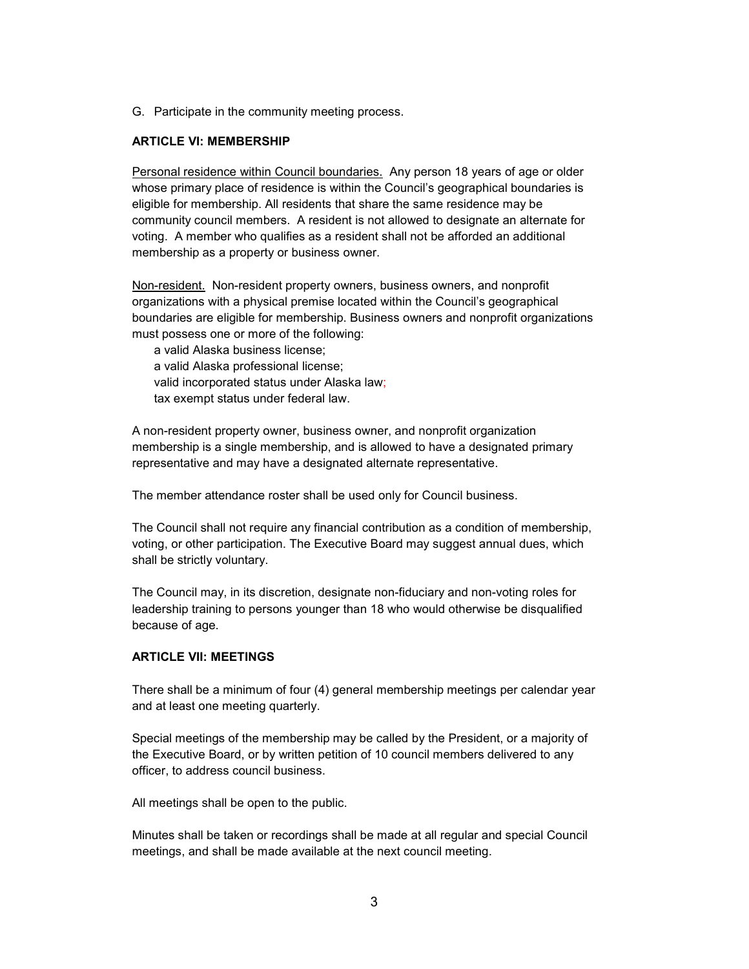G. Participate in the community meeting process.

## ARTICLE VI: MEMBERSHIP

Personal residence within Council boundaries. Any person 18 years of age or older whose primary place of residence is within the Council's geographical boundaries is eligible for membership. All residents that share the same residence may be community council members. A resident is not allowed to designate an alternate for voting. A member who qualifies as a resident shall not be afforded an additional membership as a property or business owner.

Non-resident. Non-resident property owners, business owners, and nonprofit organizations with a physical premise located within the Council's geographical boundaries are eligible for membership. Business owners and nonprofit organizations must possess one or more of the following:

 a valid Alaska business license; a valid Alaska professional license; valid incorporated status under Alaska law; tax exempt status under federal law.

A non-resident property owner, business owner, and nonprofit organization membership is a single membership, and is allowed to have a designated primary representative and may have a designated alternate representative.

The member attendance roster shall be used only for Council business.

The Council shall not require any financial contribution as a condition of membership, voting, or other participation. The Executive Board may suggest annual dues, which shall be strictly voluntary.

The Council may, in its discretion, designate non-fiduciary and non-voting roles for leadership training to persons younger than 18 who would otherwise be disqualified because of age.

# ARTICLE VII: MEETINGS

There shall be a minimum of four (4) general membership meetings per calendar year and at least one meeting quarterly.

Special meetings of the membership may be called by the President, or a majority of the Executive Board, or by written petition of 10 council members delivered to any officer, to address council business.

All meetings shall be open to the public.

Minutes shall be taken or recordings shall be made at all regular and special Council meetings, and shall be made available at the next council meeting.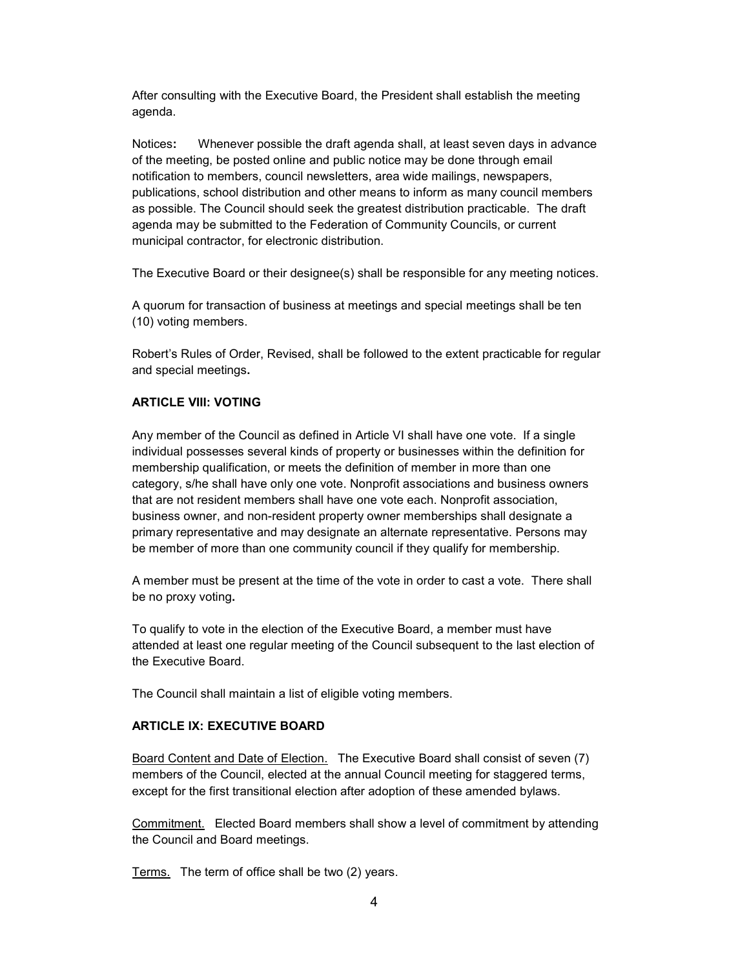After consulting with the Executive Board, the President shall establish the meeting agenda.

Notices: Whenever possible the draft agenda shall, at least seven days in advance of the meeting, be posted online and public notice may be done through email notification to members, council newsletters, area wide mailings, newspapers, publications, school distribution and other means to inform as many council members as possible. The Council should seek the greatest distribution practicable. The draft agenda may be submitted to the Federation of Community Councils, or current municipal contractor, for electronic distribution.

The Executive Board or their designee(s) shall be responsible for any meeting notices.

A quorum for transaction of business at meetings and special meetings shall be ten (10) voting members.

Robert's Rules of Order, Revised, shall be followed to the extent practicable for regular and special meetings.

### ARTICLE VIII: VOTING

Any member of the Council as defined in Article VI shall have one vote. If a single individual possesses several kinds of property or businesses within the definition for membership qualification, or meets the definition of member in more than one category, s/he shall have only one vote. Nonprofit associations and business owners that are not resident members shall have one vote each. Nonprofit association, business owner, and non-resident property owner memberships shall designate a primary representative and may designate an alternate representative. Persons may be member of more than one community council if they qualify for membership.

A member must be present at the time of the vote in order to cast a vote. There shall be no proxy voting.

To qualify to vote in the election of the Executive Board, a member must have attended at least one regular meeting of the Council subsequent to the last election of the Executive Board.

The Council shall maintain a list of eligible voting members.

# ARTICLE IX: EXECUTIVE BOARD

Board Content and Date of Election. The Executive Board shall consist of seven (7) members of the Council, elected at the annual Council meeting for staggered terms, except for the first transitional election after adoption of these amended bylaws.

Commitment. Elected Board members shall show a level of commitment by attending the Council and Board meetings.

Terms. The term of office shall be two (2) years.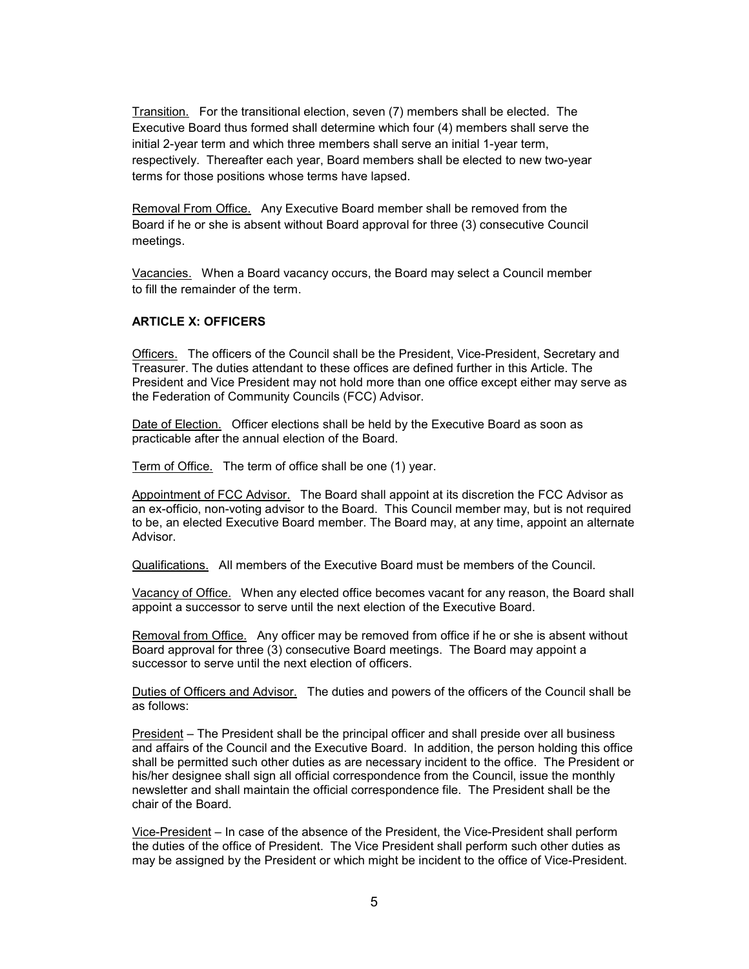Transition. For the transitional election, seven (7) members shall be elected. The Executive Board thus formed shall determine which four (4) members shall serve the initial 2-year term and which three members shall serve an initial 1-year term, respectively. Thereafter each year, Board members shall be elected to new two-year terms for those positions whose terms have lapsed.

Removal From Office. Any Executive Board member shall be removed from the Board if he or she is absent without Board approval for three (3) consecutive Council meetings.

Vacancies. When a Board vacancy occurs, the Board may select a Council member to fill the remainder of the term.

#### ARTICLE X: OFFICERS

Officers. The officers of the Council shall be the President, Vice-President, Secretary and Treasurer. The duties attendant to these offices are defined further in this Article. The President and Vice President may not hold more than one office except either may serve as the Federation of Community Councils (FCC) Advisor.

Date of Election. Officer elections shall be held by the Executive Board as soon as practicable after the annual election of the Board.

Term of Office. The term of office shall be one (1) year.

Appointment of FCC Advisor. The Board shall appoint at its discretion the FCC Advisor as an ex-officio, non-voting advisor to the Board. This Council member may, but is not required to be, an elected Executive Board member. The Board may, at any time, appoint an alternate Advisor.

Qualifications. All members of the Executive Board must be members of the Council.

Vacancy of Office. When any elected office becomes vacant for any reason, the Board shall appoint a successor to serve until the next election of the Executive Board.

Removal from Office. Any officer may be removed from office if he or she is absent without Board approval for three (3) consecutive Board meetings. The Board may appoint a successor to serve until the next election of officers.

Duties of Officers and Advisor. The duties and powers of the officers of the Council shall be as follows:

President – The President shall be the principal officer and shall preside over all business and affairs of the Council and the Executive Board. In addition, the person holding this office shall be permitted such other duties as are necessary incident to the office. The President or his/her designee shall sign all official correspondence from the Council, issue the monthly newsletter and shall maintain the official correspondence file. The President shall be the chair of the Board.

Vice-President – In case of the absence of the President, the Vice-President shall perform the duties of the office of President. The Vice President shall perform such other duties as may be assigned by the President or which might be incident to the office of Vice-President.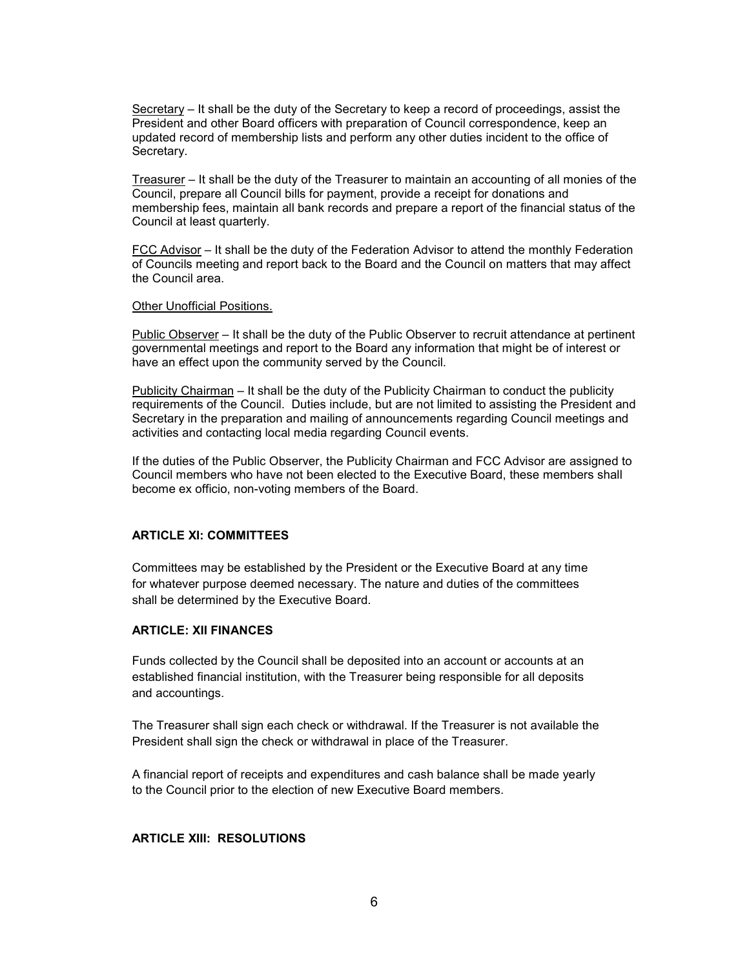Secretary – It shall be the duty of the Secretary to keep a record of proceedings, assist the President and other Board officers with preparation of Council correspondence, keep an updated record of membership lists and perform any other duties incident to the office of Secretary.

Treasurer – It shall be the duty of the Treasurer to maintain an accounting of all monies of the Council, prepare all Council bills for payment, provide a receipt for donations and membership fees, maintain all bank records and prepare a report of the financial status of the Council at least quarterly.

FCC Advisor – It shall be the duty of the Federation Advisor to attend the monthly Federation of Councils meeting and report back to the Board and the Council on matters that may affect the Council area.

#### Other Unofficial Positions.

Public Observer – It shall be the duty of the Public Observer to recruit attendance at pertinent governmental meetings and report to the Board any information that might be of interest or have an effect upon the community served by the Council.

Publicity Chairman – It shall be the duty of the Publicity Chairman to conduct the publicity requirements of the Council. Duties include, but are not limited to assisting the President and Secretary in the preparation and mailing of announcements regarding Council meetings and activities and contacting local media regarding Council events.

If the duties of the Public Observer, the Publicity Chairman and FCC Advisor are assigned to Council members who have not been elected to the Executive Board, these members shall become ex officio, non-voting members of the Board.

### ARTICLE XI: COMMITTEES

Committees may be established by the President or the Executive Board at any time for whatever purpose deemed necessary. The nature and duties of the committees shall be determined by the Executive Board.

#### ARTICLE: XII FINANCES

Funds collected by the Council shall be deposited into an account or accounts at an established financial institution, with the Treasurer being responsible for all deposits and accountings.

The Treasurer shall sign each check or withdrawal. If the Treasurer is not available the President shall sign the check or withdrawal in place of the Treasurer.

A financial report of receipts and expenditures and cash balance shall be made yearly to the Council prior to the election of new Executive Board members.

# ARTICLE XIII: RESOLUTIONS